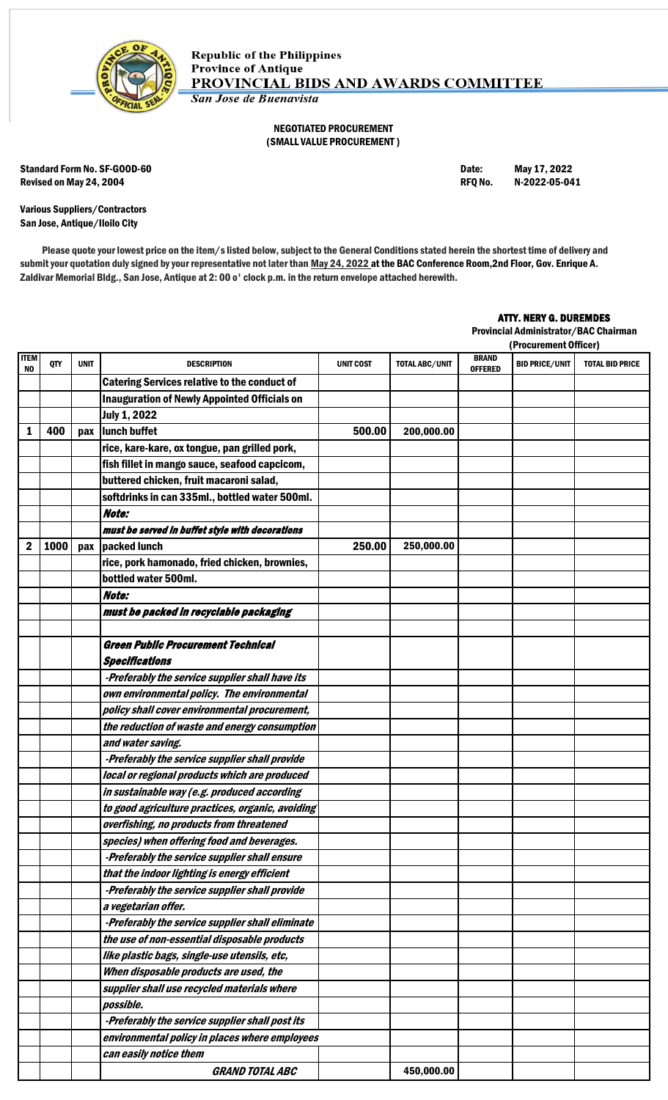

### NEGOTIATED PROCUREMENT (SMALL VALUE PROCUREMENT )

Standard Form No. SF-GOOD-60 **Date:** May 17, 2022 Revised on May 24, 2004 **RFQ No. 2022-05-041** RFQ No. 2022-05-041

Various Suppliers/Contractors San Jose, Antique/Iloilo City

Please quote your lowest price on the item/s listed below, subject to the General Conditions stated herein the shortest time of delivery and submit your quotation duly signed by your representative not later than May 24, 2022 at the BAC Conference Room, 2nd Floor, Gov. Enrique A. Zaldivar Memorial Bldg., San Jose, Antique at 2: 00 o' clock p.m. in the return envelope attached herewith.

## ATTY. NERY G. DUREMDES

Provincial Administrator/BAC Chairman

|            |      |             | (Procurement Officer)                               |                  |                       |                                |                       |                        |
|------------|------|-------------|-----------------------------------------------------|------------------|-----------------------|--------------------------------|-----------------------|------------------------|
| ITEM<br>NO | QTY  | <b>UNIT</b> | <b>DESCRIPTION</b>                                  | <b>UNIT COST</b> | <b>TOTAL ABC/UNIT</b> | <b>BRAND</b><br><b>OFFERED</b> | <b>BID PRICE/UNIT</b> | <b>TOTAL BID PRICE</b> |
|            |      |             | <b>Catering Services relative to the conduct of</b> |                  |                       |                                |                       |                        |
|            |      |             | <b>Inauguration of Newly Appointed Officials on</b> |                  |                       |                                |                       |                        |
|            |      |             | <b>July 1, 2022</b>                                 |                  |                       |                                |                       |                        |
| 1          | 400  | pax         | lunch buffet                                        | 500.00           | 200,000.00            |                                |                       |                        |
|            |      |             | rice, kare-kare, ox tongue, pan grilled pork,       |                  |                       |                                |                       |                        |
|            |      |             | fish fillet in mango sauce, seafood capcicom,       |                  |                       |                                |                       |                        |
|            |      |             | buttered chicken, fruit macaroni salad,             |                  |                       |                                |                       |                        |
|            |      |             | softdrinks in can 335ml., bottled water 500ml.      |                  |                       |                                |                       |                        |
|            |      |             | Note:                                               |                  |                       |                                |                       |                        |
|            |      |             | must be served in buffet style with decorations     |                  |                       |                                |                       |                        |
| 2          | 1000 | pax         | packed lunch                                        | 250.00           | 250,000.00            |                                |                       |                        |
|            |      |             | rice, pork hamonado, fried chicken, brownies,       |                  |                       |                                |                       |                        |
|            |      |             | bottled water 500ml.                                |                  |                       |                                |                       |                        |
|            |      |             | Note:                                               |                  |                       |                                |                       |                        |
|            |      |             | must be packed in recyclable packaging              |                  |                       |                                |                       |                        |
|            |      |             |                                                     |                  |                       |                                |                       |                        |
|            |      |             | <b>Green Public Procurement Technical</b>           |                  |                       |                                |                       |                        |
|            |      |             | <b>Specifications</b>                               |                  |                       |                                |                       |                        |
|            |      |             | -Preferably the service supplier shall have its     |                  |                       |                                |                       |                        |
|            |      |             | own environmental policy. The environmental         |                  |                       |                                |                       |                        |
|            |      |             | policy shall cover environmental procurement,       |                  |                       |                                |                       |                        |
|            |      |             | the reduction of waste and energy consumption       |                  |                       |                                |                       |                        |
|            |      |             | and water saving.                                   |                  |                       |                                |                       |                        |
|            |      |             | -Preferably the service supplier shall provide      |                  |                       |                                |                       |                        |
|            |      |             | local or regional products which are produced       |                  |                       |                                |                       |                        |
|            |      |             | in sustainable way (e.g. produced according         |                  |                       |                                |                       |                        |
|            |      |             | to good agriculture practices, organic, avoiding    |                  |                       |                                |                       |                        |
|            |      |             | overfishing, no products from threatened            |                  |                       |                                |                       |                        |
|            |      |             | species) when offering food and beverages.          |                  |                       |                                |                       |                        |
|            |      |             | -Preferably the service supplier shall ensure       |                  |                       |                                |                       |                        |
|            |      |             | that the indoor lighting is energy efficient        |                  |                       |                                |                       |                        |
|            |      |             | -Preferably the service supplier shall provide      |                  |                       |                                |                       |                        |
|            |      |             | a vegetarian offer.                                 |                  |                       |                                |                       |                        |
|            |      |             | -Preferably the service supplier shall eliminate    |                  |                       |                                |                       |                        |
|            |      |             | the use of non-essential disposable products        |                  |                       |                                |                       |                        |
|            |      |             | like plastic bags, single-use utensils, etc,        |                  |                       |                                |                       |                        |
|            |      |             | When disposable products are used, the              |                  |                       |                                |                       |                        |
|            |      |             | supplier shall use recycled materials where         |                  |                       |                                |                       |                        |
|            |      |             | possible.                                           |                  |                       |                                |                       |                        |
|            |      |             | -Preferably the service supplier shall post its     |                  |                       |                                |                       |                        |
|            |      |             | environmental policy in places where employees      |                  |                       |                                |                       |                        |
|            |      |             | can easily notice them                              |                  |                       |                                |                       |                        |
|            |      |             | <b>GRAND TOTAL ABC</b>                              |                  | 450,000.00            |                                |                       |                        |